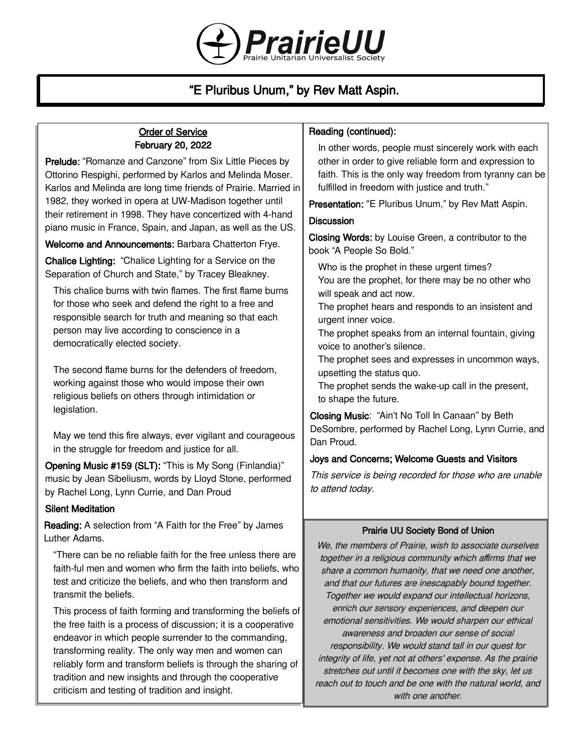

# "E Pluribus Unum," by Rev Matt Aspin.

### Order of Service February 20, 2022

Prelude: "Romanze and Canzone" from Six Little Pieces by Ottorino Respighi, performed by Karlos and Melinda Moser. Karlos and Melinda are long time friends of Prairie. Married in 1982, they worked in opera at UW-Madison together until their retirement in 1998. They have concertized with 4-hand piano music in France, Spain, and Japan, as well as the US.

Welcome and Announcements: Barbara Chatterton Frye.

Chalice Lighting: "Chalice Lighting for a Service on the Separation of Church and State," by Tracey Bleakney.

This chalice burns with twin flames. The first flame burns for those who seek and defend the right to a free and responsible search for truth and meaning so that each person may live according to conscience in a democratically elected society.

The second flame burns for the defenders of freedom, working against those who would impose their own religious beliefs on others through intimidation or legislation.

May we tend this fire always, ever vigilant and courageous in the struggle for freedom and justice for all.

Opening Music #159 (SLT): "This is My Song (Finlandia)" music by Jean Sibeliusm, words by Lloyd Stone, performed by Rachel Long, Lynn Currie, and Dan Proud

# Silent Meditation

Reading: A selection from "A Faith for the Free" by James Luther Adams.

"There can be no reliable faith for the free unless there are faith-ful men and women who firm the faith into beliefs, who test and criticize the beliefs, and who then transform and transmit the beliefs.

This process of faith forming and transforming the beliefs of the free faith is a process of discussion; it is a cooperative endeavor in which people surrender to the commanding, transforming reality. The only way men and women can reliably form and transform beliefs is through the sharing of tradition and new insights and through the cooperative criticism and testing of tradition and insight.

### Reading (continued):

In other words, people must sincerely work with each other in order to give reliable form and expression to faith. This is the only way freedom from tyranny can be fulfilled in freedom with justice and truth."

Presentation: "E Pluribus Unum," by Rev Matt Aspin.

#### **Discussion**

Closing Words: by Louise Green, a contributor to the book "A People So Bold."

Who is the prophet in these urgent times? You are the prophet, for there may be no other who will speak and act now.

The prophet hears and responds to an insistent and urgent inner voice.

The prophet speaks from an internal fountain, giving voice to another's silence.

The prophet sees and expresses in uncommon ways, upsetting the status quo.

The prophet sends the wake-up call in the present, to shape the future.

Closing Music: "Ain't No Toll In Canaan" by Beth DeSombre, performed by Rachel Long, Lynn Currie, and Dan Proud.

#### Joys and Concerns; Welcome Guests and Visitors

This service is being recorded for those who are unable to attend today.

#### Prairie UU Society Bond of Union

We, the members of Prairie, wish to associate ourselves together in a religious community which affirms that we share a common humanity, that we need one another, and that our futures are inescapably bound together. Together we would expand our intellectual horizons, enrich our sensory experiences, and deepen our emotional sensitivities. We would sharpen our ethical awareness and broaden our sense of social responsibility. We would stand tall in our quest for integrity of life, yet not at others' expense. As the prairie stretches out until it becomes one with the sky, let us reach out to touch and be one with the natural world, and with one another.